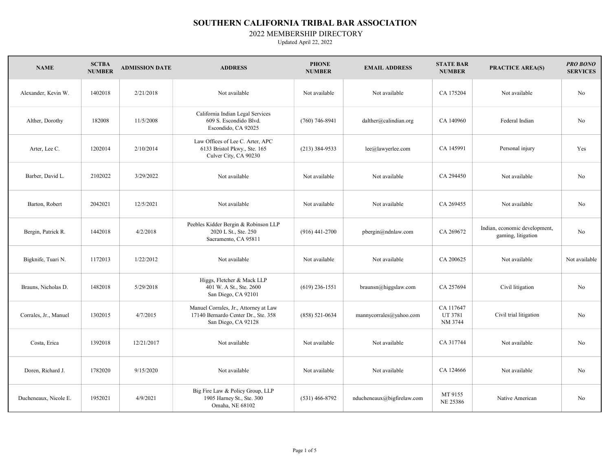2022 MEMBERSHIP DIRECTORY

| <b>NAME</b>           | <b>SCTBA</b><br><b>NUMBER</b> | <b>ADMISSION DATE</b> | <b>ADDRESS</b>                                                                                      | <b>PHONE</b><br><b>NUMBER</b> | <b>EMAIL ADDRESS</b>       | <b>STATE BAR</b><br><b>NUMBER</b> | <b>PRACTICE AREA(S)</b>                             | <b>PRO BONO</b><br><b>SERVICES</b> |
|-----------------------|-------------------------------|-----------------------|-----------------------------------------------------------------------------------------------------|-------------------------------|----------------------------|-----------------------------------|-----------------------------------------------------|------------------------------------|
| Alexander, Kevin W.   | 1402018                       | 2/21/2018             | Not available                                                                                       | Not available                 | Not available              | CA 175204                         | Not available                                       | No                                 |
| Alther, Dorothy       | 182008                        | 11/5/2008             | California Indian Legal Services<br>609 S. Escondido Blvd.<br>Escondido, CA 92025                   | $(760)$ 746-8941              | $d$ alther@calindian.org   | CA 140960                         | Federal Indian                                      | No                                 |
| Arter, Lee C.         | 1202014                       | 2/10/2014             | Law Offices of Lee C. Arter, APC<br>6133 Bristol Pkwy., Ste. 165<br>Culver City, CA 90230           | $(213)$ 384-9533              | lee@lawyerlee.com          | CA 145991                         | Personal injury                                     | Yes                                |
| Barber, David L.      | 2102022                       | 3/29/2022             | Not available                                                                                       | Not available                 | Not available              | CA 294450                         | Not available                                       | No                                 |
| Barton, Robert        | 2042021                       | 12/5/2021             | Not available                                                                                       | Not available                 | Not available              | CA 269455                         | Not available                                       | No                                 |
| Bergin, Patrick R.    | 1442018                       | 4/2/2018              | Peebles Kidder Bergin & Robinson LLP<br>2020 L St., Ste. 250<br>Sacramento, CA 95811                | $(916)$ 441-2700              | pbergin@ndnlaw.com         | CA 269672                         | Indian, economic development,<br>gaming, litigation | No                                 |
| Bigknife, Tuari N.    | 1172013                       | 1/22/2012             | Not available                                                                                       | Not available                 | Not available              | CA 200625                         | Not available                                       | Not available                      |
| Brauns, Nicholas D.   | 1482018                       | 5/29/2018             | Higgs, Fletcher & Mack LLP<br>401 W. A St., Ste. 2600<br>San Diego, CA 92101                        | $(619)$ 236-1551              | braunsn@higgslaw.com       | CA 257694                         | Civil litigation                                    | No                                 |
| Corrales, Jr., Manuel | 1302015                       | 4/7/2015              | Manuel Corrales, Jr., Attorney at Law<br>17140 Bernardo Center Dr., Ste. 358<br>San Diego, CA 92128 | $(858) 521 - 0634$            | mannycorrales@yahoo.com    | CA 117647<br>UT 3781<br>NM 3744   | Civil trial litigation                              | No                                 |
| Costa, Erica          | 1392018                       | 12/21/2017            | Not available                                                                                       | Not available                 | Not available              | CA 317744                         | Not available                                       | No                                 |
| Doren, Richard J.     | 1782020                       | 9/15/2020             | Not available                                                                                       | Not available                 | Not available              | CA 124666                         | Not available                                       | No                                 |
| Ducheneaux, Nicole E. | 1952021                       | 4/9/2021              | Big Fire Law & Policy Group, LLP<br>1905 Harney St., Ste. 300<br>Omaha, NE 68102                    | $(531)$ 466-8792              | nducheneaux@bigfirelaw.com | MT 9155<br><b>NE 25386</b>        | Native American                                     | No                                 |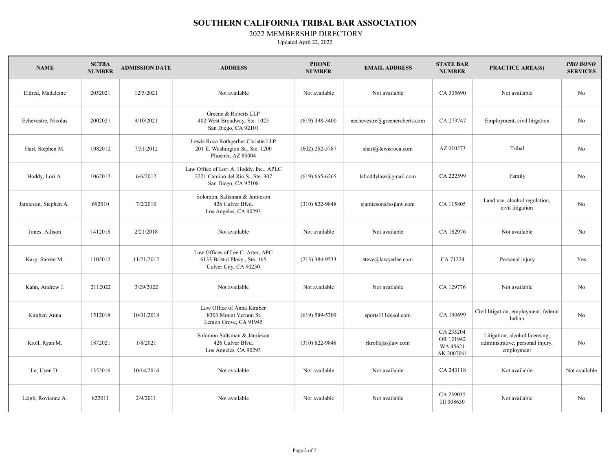2022 MEMBERSHIP DIRECTORY

| <b>NAME</b>          | <b>SCTBA</b><br><b>NUMBER</b> | <b>ADMISSION DATE</b> | <b>ADDRESS</b>                                                                                     | <b>PHONE</b><br><b>NUMBER</b> | <b>EMAIL ADDRESS</b>          | <b>STATE BAR</b><br><b>NUMBER</b>                | <b>PRACTICE AREA(S)</b>                                                          | <b>PRO BONO</b><br><b>SERVICES</b> |
|----------------------|-------------------------------|-----------------------|----------------------------------------------------------------------------------------------------|-------------------------------|-------------------------------|--------------------------------------------------|----------------------------------------------------------------------------------|------------------------------------|
| Eldred, Madeleine    | 2052021                       | 12/5/2021             | Not available                                                                                      | Not available                 | Not available                 | CA 335690                                        | Not available                                                                    | No                                 |
| Echevestre, Nicolas  | 2002021                       | 9/10/2021             | Greene & Roberts LLP<br>402 West Broadway, Ste. 1025<br>San Diego, CA 92101                        | $(619)$ 398-3400              | nechevestre@greeneroberts.com | CA 273747                                        | Employment, civil litigation                                                     | No                                 |
| Hart, Stephen M.     | 1082012                       | 7/31/2012             | Lewis Roca Rothgerber Christie LLP<br>201 E. Washington St., Ste. 1200<br>Phoenix, AZ 85004        | $(602)$ 262-5787              | shart@lewisroca.com           | AZ 010273                                        | Tribal                                                                           | No                                 |
| Hoddy, Lori A.       | 1062012                       | 6/6/2012              | Law Office of Lori A. Hoddy, Inc., APLC<br>2221 Camino del Rio S., Ste. 307<br>San Diego, CA 92108 | $(619)$ 665-6265              | lahoddylaw@gmail.com          | CA 222599                                        | Family                                                                           | No                                 |
| Jamieson, Stephen A. | 692010                        | 7/2/2010              | Solomon, Saltsman & Jamieson<br>426 Culver Blvd.<br>Los Angeles, CA 90293                          | $(310) 822 - 9848$            | sjamieson@ssjlaw.com          | CA 115805                                        | Land use, alcohol regulation,<br>civil litigation                                | No                                 |
| Jones, Allison       | 1412018                       | 2/21/2018             | Not available                                                                                      | Not available                 | Not available                 | CA 162976                                        | Not available                                                                    | No                                 |
| Karp, Steven M.      | 1102012                       | 11/21/2012            | Law Offices of Lee C. Arter, APC<br>6133 Bristol Pkwy., Ste. 165<br>Culver City, CA 90230          | $(213)$ 384-9533              | steve@lawyerlee.com           | CA 71224                                         | Personal injury                                                                  | Yes                                |
| Kahn, Andrew J.      | 2112022                       | 3/29/2022             | Not available                                                                                      | Not available                 | Not available                 | CA 129776                                        | Not available                                                                    | N <sub>o</sub>                     |
| Kimber, Anna         | 1512018                       | 10/31/2018            | Law Office of Anna Kimber<br>8303 Mount Vernon St.<br>Lemon Grove, CA 91945                        | $(619)$ 589-5309              | sports $11(a)$ aol.com        | CA 190699                                        | Civil litigation, employment, federal<br>Indian                                  | No                                 |
| Kroll, Ryan M.       | 1872021                       | 1/8/2021              | Solomon Saltsman & Jamieson<br>426 Culver Blvd.<br>Los Angeles, CA 90293                           | $(310)$ 822-9848              | rkroll@ssjlaw.com             | CA 235204<br>OR 121942<br>WA 45621<br>AK 2007061 | Litigation, alcohol licensing,<br>administrative, personal injury,<br>employment | No                                 |
| Le, Uyen D.          | 1352016                       | 10/14/2016            | Not available                                                                                      | Not available                 | Not available                 | CA 243118                                        | Not available                                                                    | Not available                      |
| Leigh, Rovianne A.   | 822011                        | 2/9/2011              | Not available                                                                                      | Not available                 | Not available                 | CA 239035<br>HI 008630                           | Not available                                                                    | No                                 |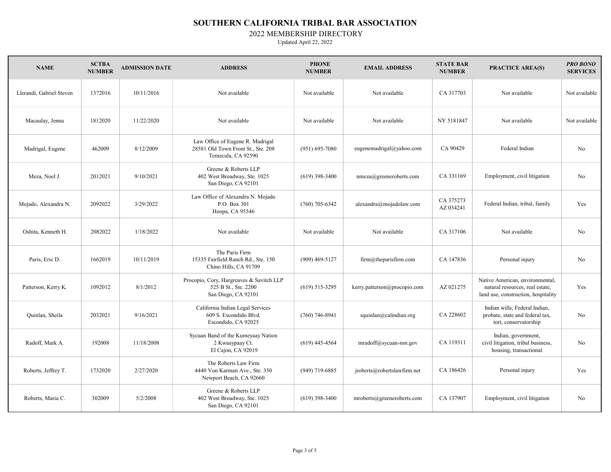2022 MEMBERSHIP DIRECTORY

| <b>NAME</b>              | <b>SCTBA</b><br><b>NUMBER</b> | <b>ADMISSION DATE</b> | <b>ADDRESS</b>                                                                               | <b>PHONE</b><br><b>NUMBER</b> | <b>EMAIL ADDRESS</b>         | <b>STATE BAR</b><br><b>NUMBER</b> | <b>PRACTICE AREA(S)</b>                                                                                   | <b>PRO BONO</b><br><b>SERVICES</b> |
|--------------------------|-------------------------------|-----------------------|----------------------------------------------------------------------------------------------|-------------------------------|------------------------------|-----------------------------------|-----------------------------------------------------------------------------------------------------------|------------------------------------|
| Llerandi, Gabriel Steven | 1372016                       | 10/11/2016            | Not available                                                                                | Not available                 | Not available                | CA 317703                         | Not available                                                                                             | Not available                      |
| Macaulay, Jenna          | 1812020                       | 11/22/2020            | Not available                                                                                | Not available                 | Not available                | NY 5181847                        | Not available                                                                                             | Not available                      |
| Madrigal, Eugene         | 462009                        | 8/12/2009             | Law Office of Eugene R. Madrigal<br>28581 Old Town Front St., Ste. 208<br>Temecula, CA 92590 | $(951)$ 695-7080              | eugenemadrigal@yahoo.com     | CA 90429                          | Federal Indian                                                                                            | No                                 |
| Meza, Noel J.            | 2012021                       | 9/10/2021             | Greene & Roberts LLP<br>402 West Broadway, Ste. 1025<br>San Diego, CA 92101                  | $(619)$ 398-3400              | nmeza@greeneroberts.com      | CA 331169                         | Employment, civil litigation                                                                              | No                                 |
| Mojado, Alexandra N.     | 2092022                       | 3/29/2022             | Law Office of Alexandra N. Mojado<br>P.O. Box 301<br>Hoopa, CA 95546                         | $(760)$ 705-6342              | alexandra@mojadolaw.com      | CA 375273<br>AZ 034241            | Federal Indian, tribal, family                                                                            | Yes                                |
| Oshita, Kenneth H.       | 2082022                       | 1/18/2022             | Not available                                                                                | Not available                 | Not available                | CA 317106                         | Not available                                                                                             | No                                 |
| Paris, Eric D.           | 1662019                       | 10/11/2019            | The Paris Firm<br>15335 Fairfield Ranch Rd., Ste. 150<br>Chino Hills, CA 91709               | $(909)$ 469-5127              | firm@theparisfirm.com        | CA 147836                         | Personal injury                                                                                           | No                                 |
| Patterson, Kerry K.      | 1092012                       | 8/1/2012              | Procopio, Cory, Hargreaves & Savitch LLP<br>525 B St., Ste. 2200<br>San Diego, CA 92101      | $(619)$ 515-3295              | kerry.patterson@procopio.com | AZ 021275                         | Native American, environmental,<br>natural resources, real estate,<br>land use, construction, hospitality | Yes                                |
| Quinlan, Sheila          | 2032021                       | 9/16/2021             | California Indian Legal Services<br>609 S. Escondido Blvd.<br>Escondido, CA 92025            | $(760)$ 746-8941              | squinlan@calindian.org       | CA 228602                         | Indian wills, Federal Indian,<br>probate, state and federal tax,<br>tort, conservatorship                 | N <sub>o</sub>                     |
| Radoff, Mark A.          | 192008                        | 11/18/2008            | Sycuan Band of the Kumeyaay Nation<br>2 Kwaaypaay Ct.<br>El Cajon, CA 92019                  | $(619)$ 445-4564              | mradoff@sycuan-nsn.gov       | CA 119311                         | Indian, government,<br>civil litigation, tribal business,<br>housing, transactional                       | No                                 |
| Roberts, Jeffrey T.      | 1732020                       | 2/27/2020             | The Roberts Law Firm<br>4440 Von Karman Ave., Ste. 350<br>Newport Beach, CA 92660            | $(949)$ 719-6885              | jroberts@robertslawfirm.net  | CA 186426                         | Personal injury                                                                                           | Yes                                |
| Roberts, Maria C.        | 302009                        | 5/2/2008              | Greene & Roberts LLP<br>402 West Broadway, Ste. 1025<br>San Diego, CA 92101                  | $(619)$ 398-3400              | mroberts@greeneroberts.com   | CA 137907                         | Employment, civil litigation                                                                              | No                                 |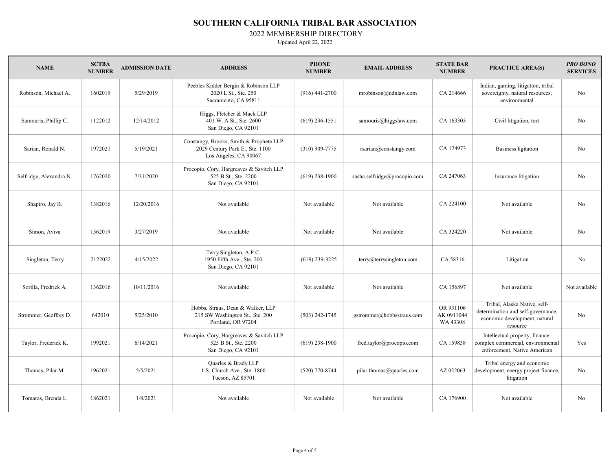#### 2022 MEMBERSHIP DIRECTORY

| <b>NAME</b>             | <b>SCTBA</b><br><b>NUMBER</b> | <b>ADMISSION DATE</b> | <b>ADDRESS</b>                                                                                      | <b>PHONE</b><br><b>NUMBER</b> | <b>EMAIL ADDRESS</b>         | <b>STATE BAR</b><br><b>NUMBER</b>   | <b>PRACTICE AREA(S)</b>                                                                                         | <b>PRO BONO</b><br><b>SERVICES</b> |
|-------------------------|-------------------------------|-----------------------|-----------------------------------------------------------------------------------------------------|-------------------------------|------------------------------|-------------------------------------|-----------------------------------------------------------------------------------------------------------------|------------------------------------|
| Robinson, Michael A.    | 1602019                       | 5/29/2019             | Peebles Kidder Bergin & Robinson LLP<br>2020 L St., Ste. 250<br>Sacramento, CA 95811                | $(916)$ 441-2700              | mrobinson@ndnlaw.com         | CA 214666                           | Indian, gaming, litigation, tribal<br>sovereignty, natural resources,<br>environmental                          | No                                 |
| Samouris, Phillip C.    | 1122012                       | 12/14/2012            | Higgs, Fletcher & Mack LLP<br>401 W. A St., Ste. 2600<br>San Diego, CA 92101                        | $(619)$ 236-1551              | samouris@higgslaw.com        | CA 163303                           | Civil litigation, tort                                                                                          | No                                 |
| Sarian, Ronald N.       | 1972021                       | 5/19/2021             | Constangy, Brooks, Smith & Prophete LLP<br>2029 Century Park E., Ste. 1100<br>Los Angeles, CA 90067 | $(310)$ 909-7775              | rsarian@constangy.com        | CA 124973                           | <b>Business ligitation</b>                                                                                      | No                                 |
| Selfridge, Alexandra N. | 1762020                       | 7/31/2020             | Procopio, Cory, Hargreaves & Savitch LLP<br>525 B St., Ste. 2200<br>San Diego, CA 92101             | $(619)$ 238-1900              | sasha.selfridge@procopio.com | CA 247063                           | Insurance litigation                                                                                            | No                                 |
| Shapiro, Jay B.         | 1382016                       | 12/20/2016            | Not available                                                                                       | Not available                 | Not available                | CA 224100                           | Not available                                                                                                   | No                                 |
| Simon, Aviva            | 1562019                       | 3/27/2019             | Not available                                                                                       | Not available                 | Not available                | CA 324220                           | Not available                                                                                                   | No                                 |
| Singleton, Terry        | 2122022                       | 4/15/2022             | Terry Singleton, A.P.C.<br>1950 Fifth Ave., Ste. 200<br>San Diego, CA 92101                         | $(619)$ 239-3225              | terry@terrysingleton.com     | CA 58316                            | Litigation                                                                                                      | No                                 |
| Sorilla, Fredrick A.    | 1362016                       | 10/11/2016            | Not available                                                                                       | Not available                 | Not available                | CA 156897                           | Not available                                                                                                   | Not available                      |
| Strommer, Geoffrey D.   | 642010                        | 5/25/2010             | Hobbs, Straus, Dean & Walker, LLP<br>215 SW Washington St., Ste. 200<br>Portland, OR 97204          | $(503)$ 242-1745              | gstrommer@hobbsstraus.com    | OR 931106<br>AK 0911044<br>WA 43308 | Tribal, Alaska Native, self-<br>determination and self-governance,<br>economic development, natural<br>resource | No                                 |
| Taylor, Frederick K.    | 1992021                       | 6/14/2021             | Procopio, Cory, Hargreaves & Savitch LLP<br>525 B St., Ste. 2200<br>San Diego, CA 92101             | $(619)$ 238-1900              | fred.taylor@procopio.com     | CA 159838                           | Intellectual property, finance,<br>complex commercial, environmental<br>enforcement, Native American            | Yes                                |
| Thomas, Pilar M.        | 1962021                       | 5/5/2021              | Quarles & Brady LLP<br>1 S. Church Ave., Ste. 1800<br>Tucson, AZ 85701                              | $(520)$ 770-8744              | pilar.thomas@quarles.com     | AZ 022063                           | Tribal energy and economic<br>development, energy project finance,<br>litigation                                | No                                 |
| Tomaras, Brenda L.      | 1862021                       | 1/8/2021              | Not available                                                                                       | Not available                 | Not available                | CA 176900                           | Not available                                                                                                   | No                                 |